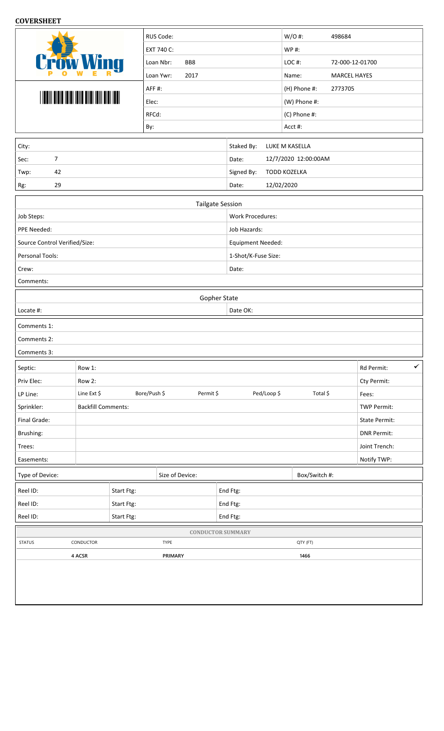## **COVERSHEET**

|                                                  |                           | RUS Code:                 |                          | $W/O$ #:<br>498684   |                            |  |  |  |  |
|--------------------------------------------------|---------------------------|---------------------------|--------------------------|----------------------|----------------------------|--|--|--|--|
|                                                  |                           | EXT 740 C:                |                          | WP #:                |                            |  |  |  |  |
| <b>Crow Wing</b>                                 |                           | BB8<br>Loan Nbr:          |                          | LOC#:                | 72-000-12-01700            |  |  |  |  |
|                                                  |                           | Loan Ywr:<br>2017         |                          | Name:                | <b>MARCEL HAYES</b>        |  |  |  |  |
|                                                  |                           | AFF#:                     |                          | (H) Phone #:         | 2773705                    |  |  |  |  |
|                                                  |                           | Elec:                     |                          | (W) Phone #:         |                            |  |  |  |  |
|                                                  |                           | RFCd:                     |                          | (C) Phone #:         |                            |  |  |  |  |
|                                                  |                           | By:                       |                          | Acct #:              |                            |  |  |  |  |
| City:                                            |                           |                           | Staked By:               | LUKE M KASELLA       |                            |  |  |  |  |
| 7<br>Sec:                                        |                           |                           | Date:                    | 12/7/2020 12:00:00AM |                            |  |  |  |  |
| 42<br>Twp:                                       |                           |                           | Signed By:               | <b>TODD KOZELKA</b>  |                            |  |  |  |  |
| 29<br>Rg:                                        |                           |                           | Date:                    | 12/02/2020           |                            |  |  |  |  |
|                                                  |                           |                           |                          |                      |                            |  |  |  |  |
|                                                  |                           | <b>Tailgate Session</b>   |                          |                      |                            |  |  |  |  |
| Job Steps:                                       |                           |                           | <b>Work Procedures:</b>  |                      |                            |  |  |  |  |
| PPE Needed:                                      |                           |                           | Job Hazards:             |                      |                            |  |  |  |  |
| Source Control Verified/Size:<br>Personal Tools: |                           |                           | Equipment Needed:        |                      |                            |  |  |  |  |
| Crew:                                            |                           |                           | 1-Shot/K-Fuse Size:      |                      |                            |  |  |  |  |
| Comments:                                        |                           |                           | Date:                    |                      |                            |  |  |  |  |
|                                                  |                           |                           |                          |                      |                            |  |  |  |  |
| Locate #:                                        |                           | Gopher State              | Date OK:                 |                      |                            |  |  |  |  |
|                                                  |                           |                           |                          |                      |                            |  |  |  |  |
|                                                  |                           |                           |                          |                      |                            |  |  |  |  |
| Comments 1:                                      |                           |                           |                          |                      |                            |  |  |  |  |
| Comments 2:                                      |                           |                           |                          |                      |                            |  |  |  |  |
| Comments 3:                                      |                           |                           |                          |                      |                            |  |  |  |  |
| Septic:                                          | Row 1:                    |                           |                          |                      | $\checkmark$<br>Rd Permit: |  |  |  |  |
| Priv Elec:                                       | Row 2:                    |                           |                          |                      | Cty Permit:                |  |  |  |  |
| LP Line:                                         | Line Ext \$               | Bore/Push \$<br>Permit \$ | Ped/Loop \$              | Total \$             | Fees:                      |  |  |  |  |
| Sprinkler:                                       | <b>Backfill Comments:</b> |                           |                          |                      | <b>TWP Permit:</b>         |  |  |  |  |
| Final Grade:                                     |                           |                           |                          |                      | State Permit:              |  |  |  |  |
| Brushing:                                        |                           |                           |                          |                      | <b>DNR Permit:</b>         |  |  |  |  |
| Trees:                                           |                           |                           |                          |                      | Joint Trench:              |  |  |  |  |
| Easements:                                       |                           |                           |                          |                      | Notify TWP:                |  |  |  |  |
| Type of Device:                                  |                           | Size of Device:           |                          | Box/Switch #:        |                            |  |  |  |  |
| Reel ID:                                         |                           | Start Ftg:                | End Ftg:                 |                      |                            |  |  |  |  |
| Reel ID:                                         |                           | Start Ftg:                | End Ftg:                 |                      |                            |  |  |  |  |
| Reel ID:                                         |                           | Start Ftg:                | End Ftg:                 |                      |                            |  |  |  |  |
|                                                  |                           |                           | <b>CONDUCTOR SUMMARY</b> |                      |                            |  |  |  |  |
| <b>STATUS</b>                                    | CONDUCTOR                 | TYPE                      |                          | QTY (FT)             |                            |  |  |  |  |
|                                                  | 4 ACSR                    | PRIMARY                   |                          | 1466                 |                            |  |  |  |  |
|                                                  |                           |                           |                          |                      |                            |  |  |  |  |
|                                                  |                           |                           |                          |                      |                            |  |  |  |  |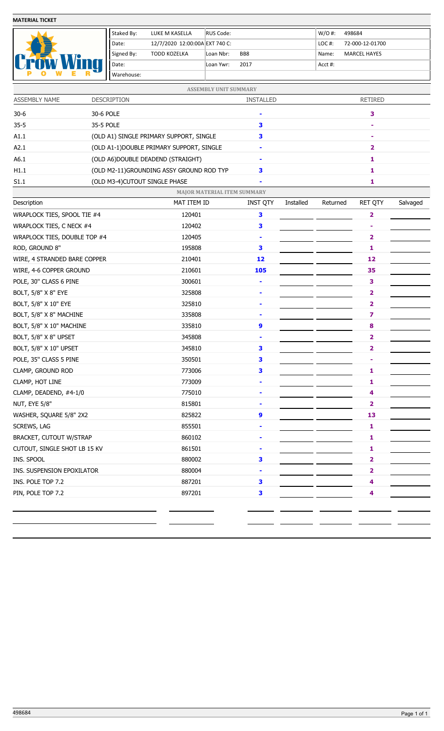**MATERIAL TICKET**

|                          | Staked By: | LUKE M KASELLA                 | RUS Code:         |                 | $W/O$ #: | 498684              |
|--------------------------|------------|--------------------------------|-------------------|-----------------|----------|---------------------|
| $\overline{\phantom{0}}$ | l Date:    | 12/7/2020 12:00:00A EXT 740 C: |                   |                 | $LOC#$ : | 72-000-12-01700     |
|                          | Signed By: | TODD KOZELKA                   | Loan Nbr:         | BB <sub>8</sub> | Name:    | <b>MARCEL HAYES</b> |
|                          | Date:      |                                | 2017<br>Loan Ywr: |                 | Acct #:  |                     |
| a.                       | Warehouse: |                                |                   |                 |          |                     |

| ASSEMBLY NAME                | <b>DESCRIPTION</b>            |                                           | <b>INSTALLED</b> |           | <b>RETIRED</b> |                         |          |  |  |
|------------------------------|-------------------------------|-------------------------------------------|------------------|-----------|----------------|-------------------------|----------|--|--|
| $30-6$                       | 30-6 POLE                     |                                           | ۰                |           | 3              |                         |          |  |  |
| $35 - 5$                     | 35-5 POLE                     |                                           | 3                |           |                |                         |          |  |  |
| A1.1                         |                               | (OLD A1) SINGLE PRIMARY SUPPORT, SINGLE   | 3                |           |                |                         |          |  |  |
| A2.1                         |                               | (OLD A1-1) DOUBLE PRIMARY SUPPORT, SINGLE |                  |           |                | 2                       |          |  |  |
| A6.1                         |                               | (OLD A6) DOUBLE DEADEND (STRAIGHT)        | ۰                |           |                | 1                       |          |  |  |
| H1.1                         |                               | (OLD M2-11)GROUNDING ASSY GROUND ROD TYP  | 3                |           | 1              |                         |          |  |  |
| S1.1                         | (OLD M3-4)CUTOUT SINGLE PHASE |                                           |                  |           |                | 1                       |          |  |  |
|                              |                               | <b>MAJOR MATERIAL ITEM SUMMARY</b>        |                  |           |                |                         |          |  |  |
| Description                  |                               | MAT ITEM ID                               | <b>INST QTY</b>  | Installed | Returned       | <b>RET QTY</b>          | Salvaged |  |  |
| WRAPLOCK TIES, SPOOL TIE #4  |                               | 120401                                    | 3                |           |                | $\overline{\mathbf{2}}$ |          |  |  |
| WRAPLOCK TIES, C NECK #4     |                               | 120402                                    | 3                |           |                |                         |          |  |  |
| WRAPLOCK TIES, DOUBLE TOP #4 |                               | 120405                                    | ۰                |           |                | 2                       |          |  |  |
| ROD, GROUND 8"               |                               | 195808                                    | 3                |           |                | 1                       |          |  |  |
| WIRE, 4 STRANDED BARE COPPER |                               | 210401                                    | 12               |           |                | 12                      |          |  |  |
| WIRE, 4-6 COPPER GROUND      |                               | 210601                                    | 105              |           | 35             |                         |          |  |  |
| POLE, 30" CLASS 6 PINE       |                               | 300601                                    | ۰                |           |                | 3                       |          |  |  |
| BOLT, 5/8" X 8" EYE          |                               | 325808                                    | ٠                |           |                |                         |          |  |  |
| BOLT, 5/8" X 10" EYE         |                               | 325810                                    |                  |           |                | 2                       |          |  |  |
| BOLT, 5/8" X 8" MACHINE      |                               | 335808                                    | ۰                |           |                | $\overline{\mathbf{z}}$ |          |  |  |
| BOLT, 5/8" X 10" MACHINE     |                               | 335810                                    | 9                |           |                | 8                       |          |  |  |
| BOLT, 5/8" X 8" UPSET        |                               | 345808                                    |                  |           |                |                         |          |  |  |
| BOLT, 5/8" X 10" UPSET       |                               | 345810                                    | 3                |           |                | 2                       |          |  |  |
| POLE, 35" CLASS 5 PINE       |                               | 350501                                    | 3                |           |                | ۰                       |          |  |  |
| CLAMP, GROUND ROD            |                               | 773006                                    | 3                |           |                | 1                       |          |  |  |
| CLAMP, HOT LINE              |                               | 773009                                    | ۰                |           |                | 1                       |          |  |  |
| CLAMP, DEADEND, #4-1/0       |                               | 775010                                    | ٠                |           |                | 4                       |          |  |  |
| NUT, EYE 5/8"                |                               | 815801                                    |                  |           |                | 2                       |          |  |  |
| WASHER, SQUARE 5/8" 2X2      |                               | 825822                                    | 9                |           |                | 13                      |          |  |  |
| SCREWS, LAG                  |                               | 855501                                    |                  |           |                | $\mathbf{1}$            |          |  |  |
| BRACKET, CUTOUT W/STRAP      |                               | 860102                                    | ٠                |           | 1              |                         |          |  |  |
| CUTOUT, SINGLE SHOT LB 15 KV |                               | 861501                                    | ٠                |           |                | 1                       |          |  |  |
| INS. SPOOL                   |                               | 880002                                    | 3                |           |                | 2                       |          |  |  |
| INS. SUSPENSION EPOXILATOR   |                               | 880004                                    |                  |           | 2              |                         |          |  |  |
| INS. POLE TOP 7.2            |                               | 887201                                    | 3                |           |                | 4                       |          |  |  |
| PIN, POLE TOP 7.2            |                               | 897201                                    | 3                |           |                | 4                       |          |  |  |
|                              |                               |                                           |                  |           |                |                         |          |  |  |
|                              |                               |                                           |                  |           |                |                         |          |  |  |
|                              |                               |                                           |                  |           |                |                         |          |  |  |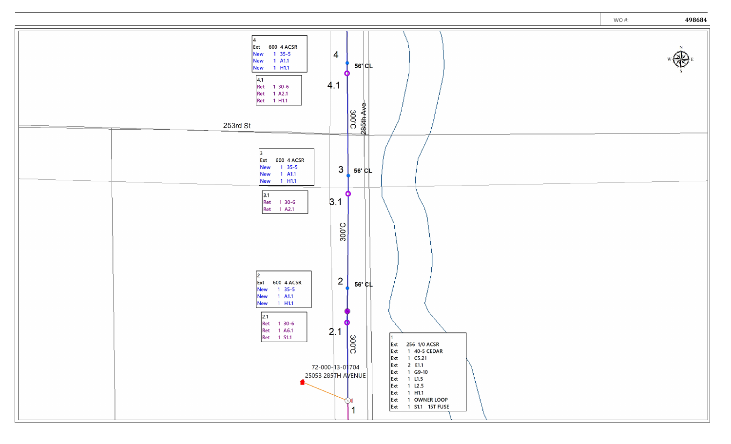